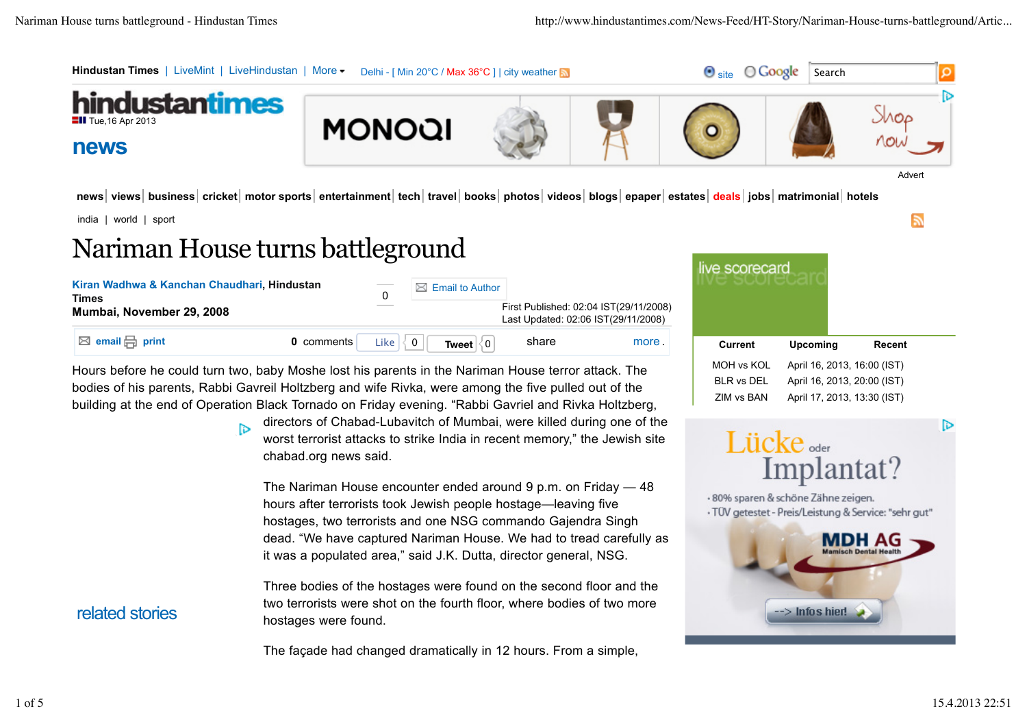

news | views | business | cricket | motor sports | entertainment | tech | travel | books | photos | videos | blogs | epaper | estates | deals | jobs | matrimonial | hotels

india | world | sport

related stories

# Nariman House turns battleground

| Kiran Wadhwa & Kanchan Chaudhari, Hindustan<br><b>Times</b><br>Mumbai, November 29, 2008 |            |      | $\boxtimes$ Email to Author       |       | First Published: 02:04 IST(29/11/2008)<br>Last Updated: 02:06 IST(29/11/2008) |
|------------------------------------------------------------------------------------------|------------|------|-----------------------------------|-------|-------------------------------------------------------------------------------|
| <b>⊠</b> email $\bigoplus$ print                                                         | 0 comments | Like | $\mathbf{0}$<br>Tweet $ 0\rangle$ | share | more.                                                                         |

Hours before he could turn two, baby Moshe lost his parents in the Nariman House terror attack. The bodies of his parents, Rabbi Gavreil Holtzberg and wife Rivka, were among the five pulled out of the building at the end of Operation Black Tornado on Friday evening. "Rabbi Gavriel and Rivka Holtzberg,

> directors of Chabad-Lubavitch of Mumbai, were killed during one of the ħэ worst terrorist attacks to strike India in recent memory," the Jewish site chabad.org news said.

The Nariman House encounter ended around 9 p.m. on Friday — 48 hours after terrorists took Jewish people hostage—leaving five hostages, two terrorists and one NSG commando Gajendra Singh dead. "We have captured Nariman House. We had to tread carefully as it was a populated area," said J.K. Dutta, director general, NSG.

Three bodies of the hostages were found on the second floor and the two terrorists were shot on the fourth floor, where bodies of two more hostages were found.

The façade had changed dramatically in 12 hours. From a simple,

| ve scorecard |                             |        |
|--------------|-----------------------------|--------|
| Current      | Upcoming                    | Recent |
| MOH vs KOL   | April 16, 2013, 16:00 (IST) |        |
| BLR vs DFL   | April 16, 2013, 20:00 (IST) |        |
| 7IM vs BAN   | April 17, 2013, 13:30 (IST) |        |

**R** 

চি

# Lücke<sub>sder</sub> Implantat?

· 80% sparen & schöne Zähne zeigen. · TÜV getestet - Preis/Leistung & Service: "sehr gut"

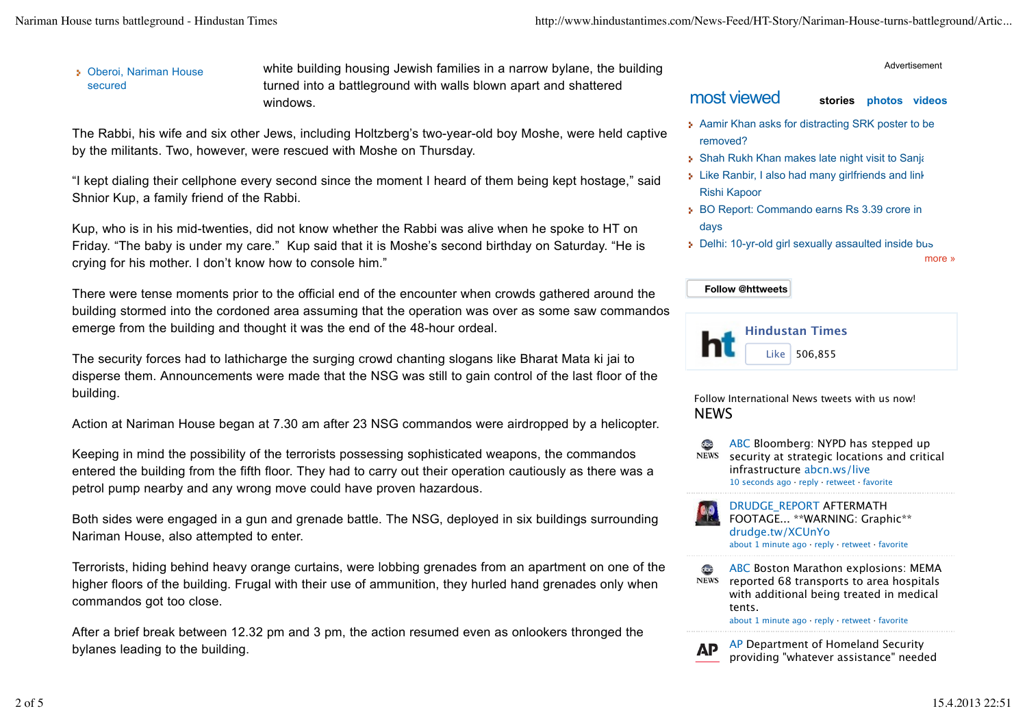## Oberoi, Nariman House secured

white building housing Jewish families in a narrow bylane, the building turned into a battleground with walls blown apart and shattered windows.

The Rabbi, his wife and six other Jews, including Holtzberg's two-year-old boy Moshe, were held captive by the militants. Two, however, were rescued with Moshe on Thursday.

"I kept dialing their cellphone every second since the moment I heard of them being kept hostage," said Shnior Kup, a family friend of the Rabbi.

Kup, who is in his mid-twenties, did not know whether the Rabbi was alive when he spoke to HT on Friday. "The baby is under my care." Kup said that it is Moshe's second birthday on Saturday. "He is crying for his mother. I don't know how to console him."

There were tense moments prior to the official end of the encounter when crowds gathered around the building stormed into the cordoned area assuming that the operation was over as some saw commandos emerge from the building and thought it was the end of the 48-hour ordeal.

The security forces had to lathicharge the surging crowd chanting slogans like Bharat Mata ki jai to disperse them. Announcements were made that the NSG was still to gain control of the last floor of the building.

Action at Nariman House began at 7.30 am after 23 NSG commandos were airdropped by a helicopter.

Keeping in mind the possibility of the terrorists possessing sophisticated weapons, the commandos entered the building from the fifth floor. They had to carry out their operation cautiously as there was a petrol pump nearby and any wrong move could have proven hazardous.

Both sides were engaged in a gun and grenade battle. The NSG, deployed in six buildings surrounding Nariman House, also attempted to enter.

Terrorists, hiding behind heavy orange curtains, were lobbing grenades from an apartment on one of the higher floors of the building. Frugal with their use of ammunition, they hurled hand grenades only when commandos got too close.

After a brief break between 12.32 pm and 3 pm, the action resumed even as onlookers thronged the bylanes leading to the building.

#### Advertisement

## most viewed **stories photos videos**

- **Aamir Khan asks for distracting SRK poster to be** removed?
- Shah Rukh Khan makes late night visit to Sanjay
- Like Ranbir, I also had many girlfriends and link-Rishi Kapoor
- **BO Report: Commando earns Rs 3.39 crore in** days
- Delhi: 10-yr-old girl sexually assaulted inside bus

more »

## **Follow @httweets**



Follow International News tweets with us now! **NFWS** 

- abc ABC Bloomberg: NYPD has stepped up **NEWS** security at strategic locations and critical infrastructure abcn.ws/live 10 seconds ago · reply · retweet · favorite
- DRUDGE\_REPORT AFTERMATH FOOTAGE... \*\*WARNING: Graphic\*\* drudge.tw/XCUnYo about 1 minute ago · reply · retweet · favorite
- abc ABC Boston Marathon explosions: MEMA reported 68 transports to area hospitals **NEWS** with additional being treated in medical tents.

about 1 minute ago · reply · retweet · favorite

**AP** 

AP Department of Homeland Security providing "whatever assistance" needed